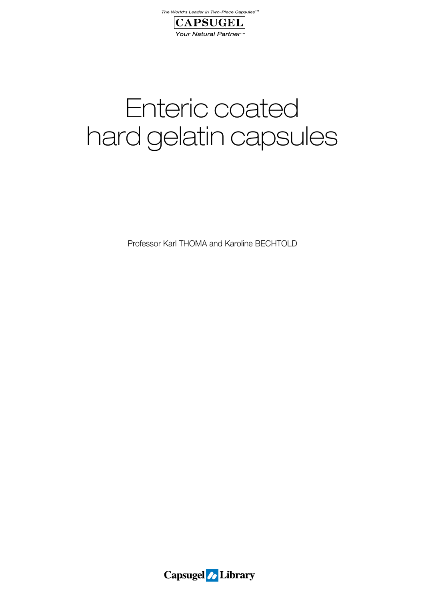



# Enteric coated hard gelatin capsules

Professor Karl THOMA and Karoline BECHTOLD

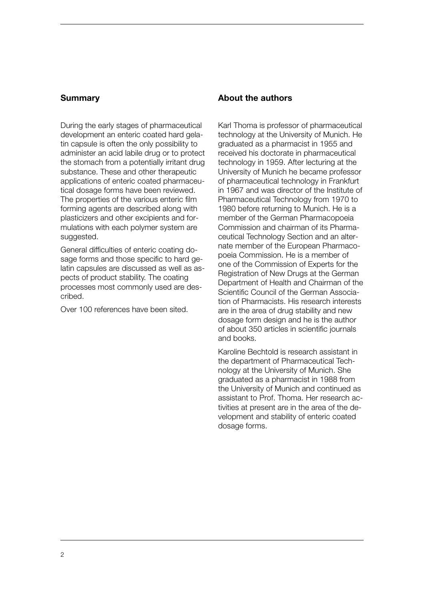# **Summary**

During the early stages of pharmaceutical development an enteric coated hard gelatin capsule is often the only possibility to administer an acid labile drug or to protect the stomach from a potentially irritant drug substance. These and other therapeutic applications of enteric coated pharmaceutical dosage forms have been reviewed. The properties of the various enteric film forming agents are described along with plasticizers and other excipients and formulations with each polymer system are suggested.

General difficulties of enteric coating dosage forms and those specific to hard gelatin capsules are discussed as well as aspects of product stability. The coating processes most commonly used are described.

Over 100 references have been sited.

# **About the authors**

Karl Thoma is professor of pharmaceutical technology at the University of Munich. He graduated as a pharmacist in 1955 and received his doctorate in pharmaceutical technology in 1959. After lecturing at the University of Munich he became professor of pharmaceutical technology in Frankfurt in 1967 and was director of the Institute of Pharmaceutical Technology from 1970 to 1980 before returning to Munich. He is a member of the German Pharmacopoeia Commission and chairman of its Pharmaceutical Technology Section and an alternate member of the European Pharmacopoeia Commission. He is a member of one of the Commission of Experts for the Registration of New Drugs at the German Department of Health and Chairman of the Scientific Council of the German Association of Pharmacists. His research interests are in the area of drug stability and new dosage form design and he is the author of about 350 articles in scientific journals and books.

Karoline Bechtold is research assistant in the department of Pharmaceutical Technology at the University of Munich. She graduated as a pharmacist in 1988 from the University of Munich and continued as assistant to Prof. Thoma. Her research activities at present are in the area of the development and stability of enteric coated dosage forms.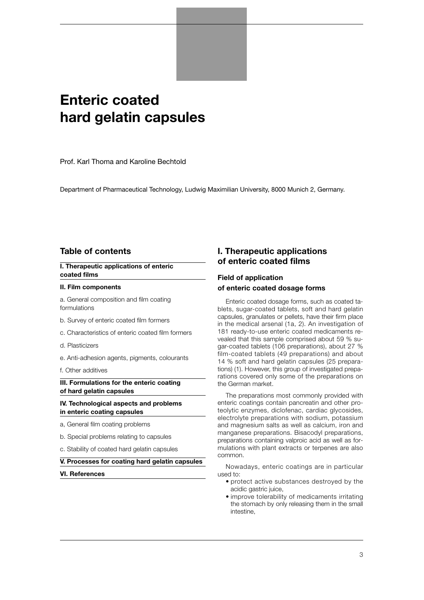# **Enteric coated hard gelatin capsules**

Prof. Karl Thoma and Karoline Bechtold

Department of Pharmaceutical Technology, Ludwig Maximilian University, 8000 Munich 2, Germany.

# **Table of contents**

**I. Therapeutic applications of enteric coated films**

#### **II. Film components**

a. General composition and film coating formulations

- b. Survey of enteric coated film formers
- c. Characteristics of enteric coated film formers
- d. Plasticizers
- e. Anti-adhesion agents, pigments, colourants
- f. Other additives

#### **III. Formulations for the enteric coating of hard gelatin capsules**

**IV. Technological aspects and problems in enteric coating capsules**

- a, General film coating problems
- b. Special problems relating to capsules
- c. Stability of coated hard gelatin capsules
- **V. Processes for coating hard gelatin capsules**
- **VI. References**

# **I. Therapeutic applications of enteric coated films**

# **Field of application of enteric coated dosage forms**

Enteric coated dosage forms, such as coated tablets, sugar-coated tablets, soft and hard gelatin capsules, granulates or pellets, have their firm place in the medical arsenal (1a, 2). An investigation of 181 ready-to-use enteric coated medicaments revealed that this sample comprised about 59 % sugar-coated tablets (106 preparations), about 27 % film-coated tablets (49 preparations) and about 14 % soft and hard gelatin capsules (25 preparations) (1). However, this group of investigated preparations covered only some of the preparations on the German market.

The preparations most commonly provided with enteric coatings contain pancreatin and other proteolytic enzymes, diclofenac, cardiac glycosides, electrolyte preparations with sodium, potassium and magnesium salts as well as calcium, iron and manganese preparations. Bisacodyl preparations, preparations containing valproic acid as well as formulations with plant extracts or terpenes are also common.

Nowadays, enteric coatings are in particular used to:

- protect active substances destroyed by the acidic gastric juice,
- improve tolerability of medicaments irritating the stomach by only releasing them in the small intestine,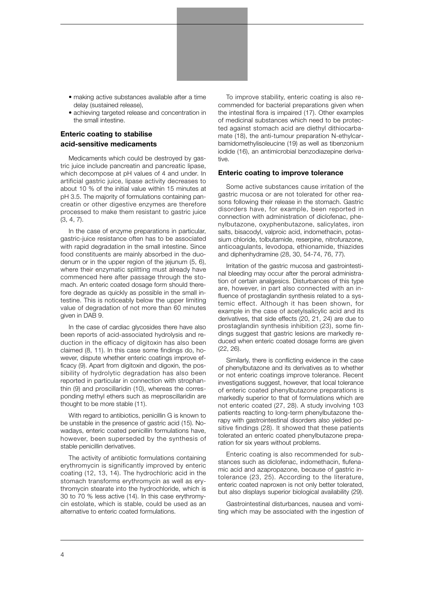- making active substances available after a time delay (sustained release),
- achieving targeted release and concentration in the small intestine.

# **Enteric coating to stabilise acid-sensitive medicaments**

Medicaments which could be destroyed by gastric juice include pancreatin and pancreatic lipase, which decompose at pH values of 4 and under. In artificial gastric juice, lipase activity decreases to about 10 % of the initial value within 15 minutes at pH 3.5. The majority of formulations containing pancreatin or other digestive enzymes are therefore processed to make them resistant to gastric juice (3, 4, 7).

In the case of enzyme preparations in particular, gastric-juice resistance often has to be associated with rapid degradation in the small intestine. Since food constituents are mainly absorbed in the duodenum or in the upper region of the jejunum (5, 6), where their enzymatic splitting must already have commenced here after passage through the stomach. An enteric coated dosage form should therefore degrade as quickly as possible in the small intestine. This is noticeably below the upper limiting value of degradation of not more than 60 minutes given in DAB 9.

In the case of cardiac glycosides there have also been reports of acid-associated hydrolysis and reduction in the efficacy of digitoxin has also been claimed (8, 11). In this case some findings do, however, dispute whether enteric coatings improve efficacy (9). Apart from digitoxin and digoxin, the possibility of hydrolytic degradation has also been reported in particular in connection with strophanthin (9) and proscillaridin (10), whereas the corresponding methyl ethers such as meproscillaridin are thought to be more stable (11).

With regard to antibiotics, penicillin G is known to be unstable in the presence of gastric acid (15). Nowadays, enteric coated penicillin formulations have, however, been superseded by the synthesis of stable penicillin derivatives.

The activity of antibiotic formulations containing erythromycin is significantly improved by enteric coating (12, 13, 14). The hydrochloric acid in the stomach transforms erythromycin as well as erythromycin stearate into the hydrochloride, which is 30 to 70 % less active (14). In this case erythromycin estolate, which is stable, could be used as an alternative to enteric coated formulations.

To improve stability, enteric coating is also recommended for bacterial preparations given when the intestinal flora is impaired (17). Other examples of medicinal substances which need to be protected against stomach acid are diethyl dithiocarbamate (18), the anti-tumour preparation N-ethylcarbamidomethylisoleucine (19) as well as tibenzonium iodide (16), an antimicrobial benzodiazepine derivative.

#### **Enteric coating to improve tolerance**

Some active substances cause irritation of the gastric mucosa or are not tolerated for other reasons following their release in the stomach. Gastric disorders have, for example, been reported in connection with administration of diclofenac, phenylbutazone, oxyphenbutazone, salicylates, iron salts, bisacodyl, valproic acid, indomethacin, potassium chloride, tolbutamide, reserpine, nitrofurazone, anticoagulants, levodopa, ethionamide, thiazides and diphenhydramine (28, 30, 54-74, 76, 77).

Irritation of the gastric mucosa and gastrointestinal bleeding may occur after the peroral administration of certain analgesics. Disturbances of this type are, however, in part also connected with an influence of prostaglandin synthesis related to a systemic effect. Although it has been shown, for example in the case of acetylsalicylic acid and its derivatives, that side effects (20, 21, 24) are due to prostaglandin synthesis inhibition (23), some findings suggest that gastric lesions are markedly reduced when enteric coated dosage forms are given (22, 26).

Similarly, there is conflicting evidence in the case of phenylbutazone and its derivatives as to whether or not enteric coatings improve tolerance. Recent investigations suggest, however, that local tolerance of enteric coated phenylbutazone preparations is markedly superior to that of formulations which are not enteric coated (27, 28). A study involving 103 patients reacting to long-term phenylbutazone therapy with gastrointestinal disorders also yielded positive findings (28). It showed that these patients tolerated an enteric coated phenylbutazone preparation for six years without problems.

Enteric coating is also recommended for substances such as diclofenac, indomethacin, flufenamic acid and azapropazone, because of gastric intolerance (23, 25). According to the literature, enteric coated naproxen is not only better tolerated, but also displays superior biological availability (29).

Gastrointestinal disturbances, nausea and vomiting which may be associated with the ingestion of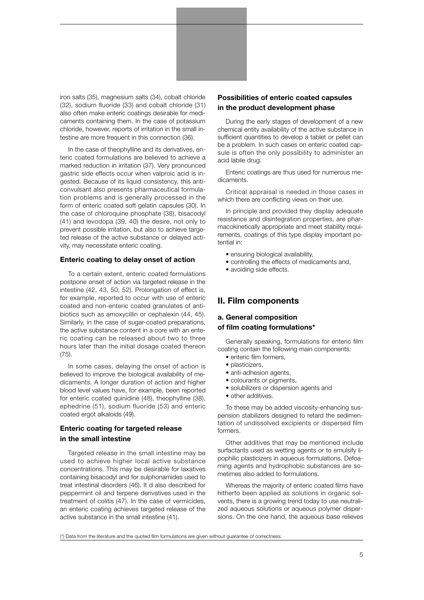iron salts (35), magnesium salts (34), cobalt chloride (32), sodium fluoride (33) and cobalt chloride (31) also often make enteric coatings desirable for medicaments containing them. In the case of potassium chloride, however, reports of irritation in the small intestine are more frequent in this connection (36).

In the case of theophylline and its derivatives, enteric coated formulations are believed to achieve a marked reduction in irritation (37). Very pronounced gastric side effects occur when valproic acid is ingested. Because of its liquid consistency, this anticonvulsant also presents pharmaceutical formulation problems and is generally processed in the form of enteric coated soft gelatin capsules (30). In the case of chloroquine phosphate (38), bisacodyl (41) and levodopa (39, 40) the desire, not only to prevent possible irritation, but also to achieve targeted release of the active substance or delayed activity, may necessitate enteric coating.

#### **Enteric coating to delay onset of action**

To a certain extent, enteric coated formulations postpone onset of action via targeted release in the intestine (42, 43, 50, 52). Prolongation of effect is, for example, reported to occur with use of enteric coated and non-enteric coated granulates of antibiotics such as amoxycillin or cephalexin (44, 45). Similarly, in the case of sugar-coated preparations, the active substance content in a core with an enteric coating can be released about two to three hours later than the initial dosage coated thereon (75).

In some cases, delaying the onset of action is believed to improve the biological availability of medicaments. A longer duration of action and higher blood level values have, for example, been reported for enteric coated quinidine (48), theophylline (38), ephedrine (51), sodium fluoride (53) and enteric coated ergot alkaloids (49).

# **Enteric coating for targeted release in the small intestine**

Targeted release in the small intestine may be used to achieve higher local active substance concentrations. This may be desirable for laxatives containing bisacodyl and for sulphonamides used to treat intestinal disorders (46). It d also described for peppermint oil and terpene derivatives used in the treatment of colitis (47). In the case of vermicides, an enteric coating achieves targeted release of the active substance in the small intestine (41).

# **Possibilities of enteric coated capsules in the product development phase**

During the early stages of development of a new chemical entity availability of the active substance in sufficient quantities to develop a tablet or pellet can be a problem. In such cases on enteric coated capsule is often the only possibility to administer an acid labile drug.

Enteric coatings are thus used for numerous medicaments.

Critical appraisal is needed in those cases in which there are conflicting views on their use.

In principle and provided they display adequate resistance and disintegration properties, are pharmacokinetically appropriate and meet stability requirements, coatings of this type display important potential in:

- ensuring biological availability,
- controlling the effects of medicaments and,
- avoiding side effects.

#### **II. Film components**

#### **a. General composition**

#### **of film coating formulations\***

Generally speaking, formulations for enteric film coating contain the following main components:

- enteric film formers,
- plasticizers,
- anti-adhesion agents,
- colourants or pigments,
- solubilizers or dispersion agents and
- other additives.

To these may be added viscosity-enhancing suspension stabilizers designed to retard the sedimentation of undissolved excipients or dispersed film formers.

Other additives that may be mentioned include surfactants used as wetting agents or to emulsify lipophilic plasticizers in aqueous formulations. Defoaming agents and hydrophobic substances are sometimes also added to formulations.

Whereas the majority of enteric coated films have hitherto been applied as solutions in organic solvents, there is a growing trend today to use neutralized aqueous solutions or aqueous polymer dispersions. On the one hand, the aqueous base relieves

(\*) Data from the literature and the quoted film formulations are given without guarantee of correctness.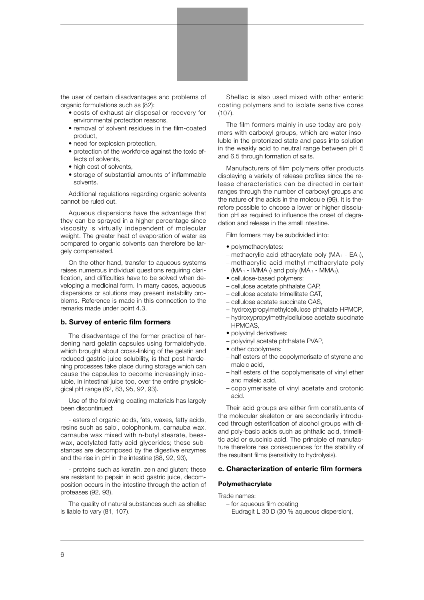

the user of certain disadvantages and problems of organic formulations such as (82):

- costs of exhaust air disposal or recovery for environmental protection reasons,
- removal of solvent residues in the film-coated product,
- need for explosion protection,
- protection of the workforce against the toxic effects of solvents,
- high cost of solvents,
- storage of substantial amounts of inflammable solvents.

Additional regulations regarding organic solvents cannot be ruled out.

Aqueous dispersions have the advantage that they can be sprayed in a higher percentage since viscosity is virtually independent of molecular weight. The greater heat of evaporation of water as compared to organic solvents can therefore be largely compensated.

On the other hand, transfer to aqueous systems raises numerous individual questions requiring clarification, and difficulties have to be solved when developing a medicinal form. In many cases, aqueous dispersions or solutions may present instability problems. Reference is made in this connection to the remarks made under point 4.3.

#### **b. Survey of enteric film formers**

The disadvantage of the former practice of hardening hard gelatin capsules using formaldehyde, which brought about cross-linking of the gelatin and reduced gastric-juice solubility, is that post-hardening processes take place during storage which can cause the capsules to become increasingly insoluble, in intestinal juice too, over the entire physiological pH range (82, 83, 95, 92, 93).

Use of the following coating materials has largely been discontinued:

- esters of organic acids, fats, waxes, fatty acids, resins such as salol, colophonium, carnauba wax, carnauba wax mixed with n-butyl stearate, beeswax, acetylated fatty acid glycerides; these substances are decomposed by the digestive enzymes and the rise in pH in the intestine (88, 92, 93),

- proteins such as keratin, zein and gluten; these are resistant to pepsin in acid gastric juice, decomposition occurs in the intestine through the action of proteases (92, 93).

The quality of natural substances such as shellac is liable to vary (81, 107).

Shellac is also used mixed with other enteric coating polymers and to isolate sensitive cores (107).

The film formers mainly in use today are polymers with carboxyl groups, which are water insoluble in the protonized state and pass into solution in the weakly acid to neutral range between pH 5 and 6,5 through formation of salts.

Manufacturers of film polymers offer products displaying a variety of release profiles since the release characteristics can be directed in certain ranges through the number of carboxyl groups and the nature of the acids in the molecule (99). It is therefore possible to choose a lower or higher dissolution pH as required to influence the onset of degradation and release in the small intestine.

Film formers may be subdivided into:

- polymethacrylates:
- methacrylic acid ethacrylate poly (MA1 EA1),
- methacrylic acid methyl methacrylate poly  $(MA_1 - IMMA_1)$  and poly  $(MA_1 - MMA_2)$ ,
- cellulose-based polymers:
- cellulose acetate phthalate CAP,
- cellulose acetate trimellitate CAT,
- cellulose acetate succinate CAS,
- hydroxypropylmethylcellulose phthalate HPMCP,
- hydroxypropylmethylcellulose acetate succinate HPMCAS,
- polyvinyl derivatives:
- polyvinyl acetate phthalate PVAP,
- other copolymers:
- half esters of the copolymerisate of styrene and maleic acid,
- half esters of the copolymerisate of vinyl ether and maleic acid,
- copolymerisate of vinyl acetate and crotonic acid.

Their acid groups are either firm constituents of the molecular skeleton or are secondarily introduced through esterification of alcohol groups with diand poly-basic acids such as phthalic acid, trimellitic acid or succinic acid. The principle of manufacture therefore has consequences for the stability of the resultant films (sensitivity to hydrolysis).

#### **c. Characterization of enteric film formers**

#### **Polymethacrylate**

Trade names:

– for aqueous film coating Eudragit L 30 D (30 % aqueous dispersion),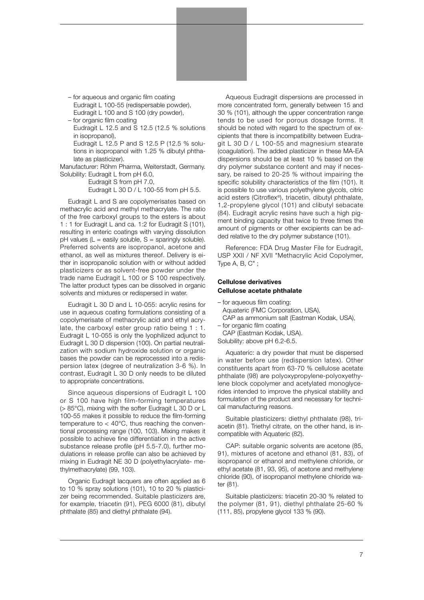– for aqueous and organic film coating

Eudragit L 100-55 (redispersable powder), Eudragit L 100 and S 100 (dry powder),

– for organic film coating

Eudragit L 12.5 and S 12.5 (12.5 % solutions in isopropanol),

Eudragit L 12.5 P and S 12.5 P (12.5 % solutions in isopropanol with 1.25 % dibutyl phthalate as plasticizer).

Manufacturer: Röhm Pharma, Weiterstadt, Germany. Solubility: Eudragit L from pH 6.0,

Eudragit S from pH 7.0,

Eudragit L 30 D / L 100-55 from pH 5.5.

Eudragit L and S are copolymerisates based on methacrylic acid and methyl methacrylate. The ratio of the free carboxyl groups to the esters is about 1 : 1 for Eudragit L and ca. 1:2 for Eudragit S (101), resulting in enteric coatings with varying dissolution  $pH$  values (L = easily soluble, S = sparingly soluble). Preferred solvents are isopropanol, acetone and ethanol, as well as mixtures thereof. Delivery is either in isopropanolic solution with or without added plasticizers or as solvent-free powder under the trade name Eudragit L 100 or S 100 respectively. The latter product types can be dissolved in organic solvents and mixtures or redispersed in water.

Eudragit L 30 D and L 10-055: acrylic resins for use in aqueous coating formulations consisting of a copolymerisate of methacrylic acid and ethyl acrylate, the carboxyl ester group ratio being 1 : 1. Eudragit L 10-055 is only the lyophilized adjunct to Eudragit L 30 D dispersion (100). On partial neutralization with sodium hydroxide solution or organic bases the powder can be reprocessed into a redispersion latex (degree of neutralization 3-6 %). In contrast, Eudragit L 30 D only needs to be diluted to appropriate concentrations.

Since aqueous dispersions of Eudragit L 100 or S 100 have high film-forming temperatures (> 85°C), mixing with the softer Eudragit L 30 D or L 100-55 makes it possible to reduce the film-forming temperature to  $<$  40 $^{\circ}$ C, thus reaching the conventional processing range (100, 103). Mixing makes it possible to achieve fine differentiation in the active substance release profile (pH 5.5-7.0), further modulations in release profile can also be achieved by mixing in Eudragit NE 30 D (polyethylacrylate- methylmethacrylate) (99, 103).

Organic Eudragit lacquers are often applied as 6 to 10 % spray solutions (101), 10 to 20 % plasticizer being recommended. Suitable plasticizers are, for example, triacetin (91), PEG 6000 (81), dibutyl phthalate (85) and diethyl phthalate (94).

Aqueous Eudragit dispersions are processed in more concentrated form, generally between 15 and 30 % (101), although the upper concentration range tends to be used for porous dosage forms. It should be noted with regard to the spectrum of excipients that there is incompatibility between Eudragit L 30 D / L 100-55 and magnesium stearate (coagulation). The added plasticizer in these MA-EA dispersions should be at least 10 % based on the dry polymer substance content and may if necessary, be raised to 20-25 % without impairing the specific solubility characteristics of the film (101). It is possible to use various polyethylene glycols, citric acid esters (Citroflex®), triacetin, dibutyl phthalate, 1,2-propylene glycol (101) and clibutyl sebacate (84). Eudragit acrylic resins have such a high pigment binding capacity that twice to three times the amount of pigments or other excipients can be added relative to the dry polymer substance (101).

Reference: FDA Drug Master File for Eudragit, USP XXII / NF XVII "Methacrylic Acid Copolymer, Type A, B, C" ;

#### **Cellulose derivatives Cellulose acetate phthalate**

– for aqueous film coating: Aquateric (FMC Corporation, USA), CAP as ammonium salt (Eastman Kodak, USA), – for organic film coating

CAP (Eastman Kodak, USA).

Solubility: above pH 6.2-6.5.

Aquateric: a dry powder that must be dispersed in water before use (redispersion latex). Other constituents apart from 63-70 % cellulose acetate phthalate (98) are polyoxypropylene-polyoxyethylene block copolymer and acetylated monoglycerides intended to improve the physical stability and formulation of the product and necessary for technical manufacturing reasons.

Suitable plasticizers: diethyl phthalate (98), triacetin (81). Triethyl citrate, on the other hand, is incompatible with Aquateric (82).

CAP: suitable organic solvents are acetone (85, 91), mixtures of acetone and ethanol (81, 83), of isopropanol or ethanol and methylene chloride, or ethyl acetate (81, 93, 95), of acetone and methylene chloride (90), of isopropanol methylene chloride water (81).

Suitable plasticizers: triacetin 20-30 % related to the polymer (81, 91), diethyl phthalate 25-60 % (111, 85), propylene glycol 133 % (90).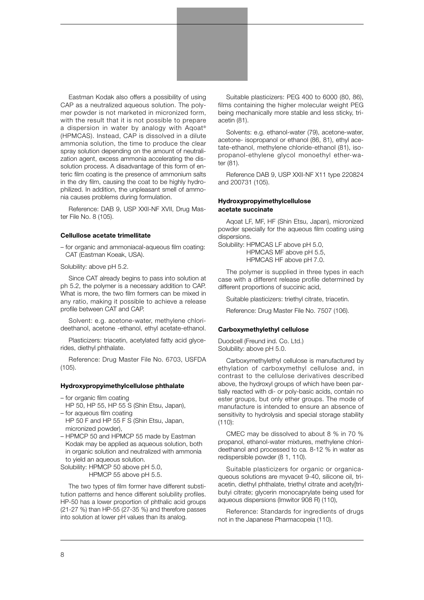

Eastman Kodak also offers a possibility of using CAP as a neutralized aqueous solution. The polymer powder is not marketed in micronized form, with the result that it is not possible to prepare a dispersion in water by analogy with Aqoat® (HPMCAS). Instead, CAP is dissolved in a dilute ammonia solution, the time to produce the clear spray solution depending on the amount of neutralization agent, excess ammonia accelerating the dissolution process. A disadvantage of this form of enteric film coating is the presence of ammonium salts in the dry film, causing the coat to be highly hydrophilized. In addition, the unpleasant smell of ammonia causes problems during formulation.

Reference: DAB 9, USP XXII-NF XVII, Drug Master File No. 8 (105).

#### **Cellullose acetate trimellitate**

– for organic and ammoniacal-aqueous film coating: CAT (Eastman Koeak, USA).

Solubility: above pH 5.2.

Since CAT already begins to pass into solution at ph 5.2, the polymer is a necessary addition to CAP. What is more, the two film formers can be mixed in any ratio, making it possible to achieve a release profile between CAT and CAP.

Solvent: e.g. acetone-water, methylene chlorideethanol, acetone -ethanol, ethyl acetate-ethanol.

Plasticizers: triacetin, acetylated fatty acid glycerides, diethyl phthalate.

Reference: Drug Master File No. 6703, USFDA (105).

#### **Hydroxypropyimethylcellulose phthalate**

– for organic film coating

HP 50, HP 55, HP 55 S (Shin Etsu, Japan),

- for aqueous film coating
- HP 50 F and HP 55 F S (Shin Etsu, Japan, micronized powder),
- HPMCP 50 and HPMCP 55 made by Eastman Kodak may be applied as aqueous solution, both in organic solution and neutralized with ammonia to yield an aqueous solution.

Solubility: HPMCP 50 above pH 5.0, HPMCP 55 above pH 5.5.

The two types of film former have different substitution patterns and hence different solubility profiles. HP-50 has a lower proportion of phthalic acid groups (21-27 %) than HP-55 (27-35 %) and therefore passes into solution at lower pH values than its analog.

Suitable plasticizers: PEG 400 to 6000 (80, 86), films containing the higher molecular weight PEG being mechanically more stable and less sticky, triacetin (81).

Solvents: e.g. ethanol-water (79), acetone-water, acetone- isopropanol or ethanol (86, 81), ethyl acetate-ethanol, methylene chloride-ethanol (81), isopropanol-ethylene glycol monoethyl ether-water (81).

Reference DAB 9, USP XXII-NF X11 type 220824 and 200731 (105).

#### **Hydroxypropyimethylcellulose acetate succinate**

Aqoat LF, MF, HF (Shin Etsu, Japan), micronized powder specially for the aqueous film coating using dispersions.

Solubility: HPMCAS LF above pH 5.0,

HPMCAS MF above pH 5.5, HPMCAS HF above pH 7.0.

The polymer is supplied in three types in each case with a different release profile determined by different proportions of succinic acid,

Suitable plasticizers: triethyl citrate, triacetin.

Reference: Drug Master File No. 7507 (106).

#### **Carboxymethylethyl cellulose**

Duodcell (Freund ind. Co. Ltd.) Solubility: above pH 5.0.

Carboxymethylethyl cellulose is manufactured by ethylation of carboxymethyl cellulose and, in contrast to the cellulose derivatives described above, the hydroxyl groups of which have been partially reacted with di- or poly-basic acids, contain no ester groups, but only ether groups. The mode of manufacture is intended to ensure an absence of sensitivity to hydrolysis and special storage stability  $(110):$ 

CMEC may be dissolved to about 8 % in 70 % propanol, ethanol-water mixtures, methylene chlorideethanol and processed to ca. 8-12 % in water as redispersible powder (8 1, 110).

Suitable plasticizers for organic or organicaqueous solutions are myvacet 9-40, silicone oil, triacetin, diethyl phthalate, triethyl citrate and acety[tributyi citrate; glycerin monocaprylate being used for aqueous dispersions (Imwitor 908 R) (110),

Reference: Standards for ingredients of drugs not in the Japanese Pharmacopeia (110).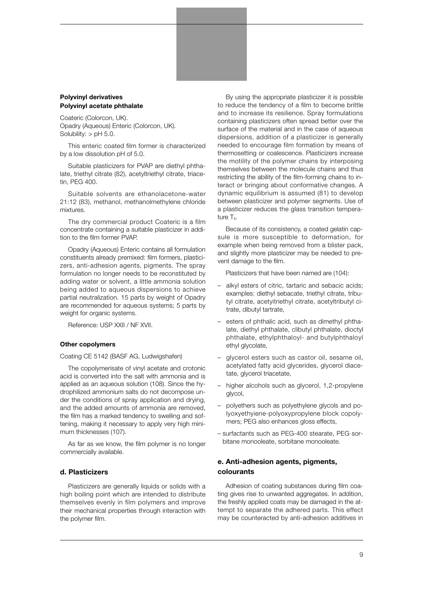#### **Polyvinyl derivatives Polyvinyl acetate phthalate**

Coateric (Colorcon, UK). Opadry (Aqueous) Enteric (Colorcon, UK). Solubility:  $>$  pH 5.0.

This enteric coated film former is characterized by a low dissolution pH of 5.0.

Suitable plasticizers for PVAP are diethyl phthalate, triethyl citrate (82), acetyltriethyl citrate, triacetin, PEG 400.

Suitable solvents are ethanolacetone-water 21:12 (83), methanol, methanolmethylene chloride mixtures.

The dry commercial product Coateric is a film concentrate containing a suitable plasticizer in addition to the film former PVAP.

Opadry (Aqueous) Enteric contains all formulation constituents already premixed: film formers, plasticizers, anti-adhesion agents, pigments. The spray formulation no longer needs to be reconstituted by adding water or solvent, a little ammonia solution being added to aqueous dispersions to achieve partial neutralization. 15 parts by weight of Opadry are recommended for aqueous systems; 5 parts by weight for organic systems.

Reference: USP XXII / NF XVII.

#### **Other copolymers**

Coating CE 5142 (BASF AG, Ludwigshafen)

The copolymerisate of vinyl acetate and crotonic acid is converted into the salt with ammonia and is applied as an aqueous solution (108). Since the hydrophilized ammonium salts do not decompose under the conditions of spray application and drying, and the added amounts of ammonia are removed, the film has a marked tendency to swelling and softening, making it necessary to apply very high minimum thicknesses (107).

As far as we know, the film polymer is no longer commercially available.

#### **d. Plasticizers**

Plasticizers are generally liquids or solids with a high boiling point which are intended to distribute themselves evenly in film polymers and improve their mechanical properties through interaction with the polymer film.

By using the appropriate plasticizer it is possible to reduce the tendency of a film to become brittle and to increase its resilience. Spray formulations containing plasticizers often spread better over the surface of the material and in the case of aqueous dispersions, addition of a plasticizer is generally needed to encourage film formation by means of thermosetting or coalescence. Plasticizers increase the motility of the polymer chains by interposing themselves between the molecule chains and thus restricting the ability of the film-forming chains to interact or bringing about conformative changes. A dynamic equilibrium is assumed (81) to develop between plasticizer and polymer segments. Use of a plasticizer reduces the glass transition temperature Tg.

Because of its consistency, a coated gelatin capsule is more susceptible to deformation, for example when being removed from a blister pack, and slightly more plasticizer may be needed to prevent damage to the film.

Plasticizers that have been named are (104):

- alkyl esters of citric, tartaric and sebacic acids; examples: diethyl sebacate, triethyl citrate, tributyl citrate, acetyitriethyl citrate, acetyltributyl citrate, dibutyl tartrate,
- esters of phthalic acid, such as dimethyl phthalate, diethyl phthalate, clibutyl phthalate, dioctyl phthalate, ethylphthaloyl- and butylphthaloyl ethyl glycolate,
- glycerol esters such as castor oil, sesame oil, acetylated fatty acid glycerides, glycerol diacetate, glycerol triacetate,
- higher alcohols such as glycerol, 1,2-propylene glycol,
- polyethers such as polyethylene glycols and polyoxyethyiene-polyoxypropylene block copolymers; PEG also enhances gloss effects,
- surfactants such as PEG-400 stearate, PEG sorbitane monooleate, sorbitane monooleate.

# **e. Anti-adhesion agents, pigments, colourants**

Adhesion of coating substances during film coating gives rise to unwanted aggregates. In addition, the freshly applied coats may be damaged in the attempt to separate the adhered parts. This effect may be counteracted by anti-adhesion additives in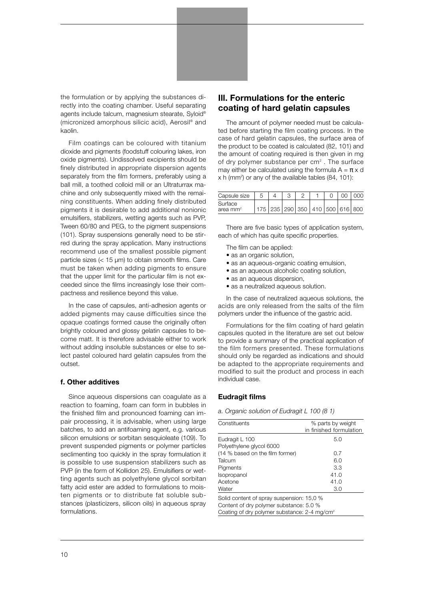the formulation or by applying the substances directly into the coating chamber. Useful separating agents include talcum, magnesium stearate, Syloid® (micronized amorphous silicic acid), Aerosil® and kaolin.

Film coatings can be coloured with titanium dioxide and pigments (foodstuff colouring lakes, iron oxide pigments). Undissolved excipients should be finely distributed in appropriate dispersion agents separately from the film formers, preferably using a ball mill, a toothed colloid mill or an Ultraturrax machine and only subsequently mixed with the remaining constituents. When adding finely distributed pigments it is desirable to add additional nonionic emulsifiers, stabilizers, wetting agents such as PVP, Tween 60/80 and PEG, to the pigment suspensions (101). Spray suspensions generally need to be stirred during the spray application. Many instructions recommend use of the smallest possible pigment particle sizes (< 15 µm) to obtain smooth films. Care must be taken when adding pigments to ensure that the upper limit for the particular film is not exceeded since the films increasingly lose their compactness and resilience beyond this value.

In the case of capsules, anti-adhesion agents or added pigments may cause difficulties since the opaque coatings formed cause the originally often brightly coloured and glossy gelatin capsules to become matt. It is therefore advisable either to work without adding insoluble substances or else to select pastel coloured hard gelatin capsules from the outset.

#### **f. Other additives**

Since aqueous dispersions can coagulate as a reaction to foaming, foam can form in bubbles in the finished film and pronounced foaming can impair processing, it is advisable, when using large batches, to add an antifoaming agent, e.g. various silicon emulsions or sorbitan sesquioleate (109). To prevent suspended pigments or polymer particles seclimenting too quickly in the spray formulation it is possible to use suspension stabilizers such as PVP (in the form of Kollidon 25). Emulsifiers or wetting agents such as polyethylene glycol sorbitan fatty acid ester are added to formulations to moisten pigments or to distribute fat soluble substances (plasticizers, silicon oils) in aqueous spray formulations.

# **Ill. Formulations for the enteric coating of hard gelatin capsules**

The amount of polymer needed must be calculated before starting the film coating process. In the case of hard gelatin capsules, the surface area of the product to be coated is calculated (82, 101) and the amount of coating required is then given in mg of dry polymer substance per  $cm<sup>2</sup>$ . The surface may either be calculated using the formula  $A = \pi \times d$ x h (mm2 ) or any of the available tables (84, 101):

| Capsule size |  |  |                                         |  | റററ |
|--------------|--|--|-----------------------------------------|--|-----|
| Surface      |  |  |                                         |  |     |
| area mm $^2$ |  |  | 235   290   350   410   500   616   800 |  |     |

There are five basic types of application system, each of which has quite specific properties.

- The film can be applied:
- as an organic solution,
- as an aqueous-organic coating emulsion,
- as an aqueous alcoholic coating solution,
- as an aqueous dispersion,
- as a neutralized aqueous solution.

In the case of neutralized aqueous solutions, the acids are only released from the salts of the film polymers under the influence of the gastric acid.

Formulations for the film coating of hard gelatin capsules quoted in the literature are set out below to provide a summary of the practical application of the film formers presented. These formulations should only be regarded as indications and should be adapted to the appropriate requirements and modified to suit the product and process in each individual case.

#### **Eudragit films**

*a. Organic solution of Eudragit L 100 (8 1)*

| Constituents                                             | % parts by weight<br>in finished formulation |  |
|----------------------------------------------------------|----------------------------------------------|--|
|                                                          |                                              |  |
| Eudragit L 100                                           | 5.0                                          |  |
| Polyethylene glycol 6000                                 |                                              |  |
| (14 % based on the film former)                          | 0.7                                          |  |
| Talcum                                                   | 6.0                                          |  |
| Pigments                                                 | 3.3                                          |  |
| Isopropanol                                              | 41.0                                         |  |
| Acetone                                                  | 41.0                                         |  |
| Water                                                    | 3.0                                          |  |
| Solid content of spray suspension: 15,0 %                |                                              |  |
| Content of dry polymer substance: 5.0 %                  |                                              |  |
| Coating of dry polymer substance: 2-4 mg/cm <sup>2</sup> |                                              |  |
|                                                          |                                              |  |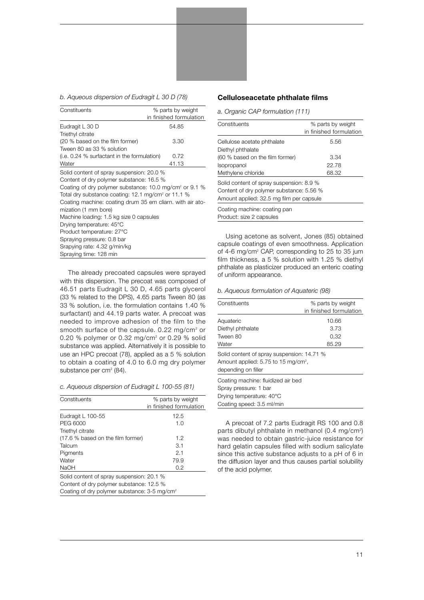*b. Aqueous dispersion of Eudragit L 30 D (78)*

| Constituents                                                       | % parts by weight       |
|--------------------------------------------------------------------|-------------------------|
|                                                                    | in finished formulation |
| Eudragit L 30 D                                                    | 54.85                   |
| Triethyl citrate                                                   |                         |
| (20 % based on the film former)                                    | 3.30                    |
| Tween 80 as 33 % solution                                          |                         |
| $(i.e. 0.24 %$ surfactant in the formulation)                      | 0.72                    |
| Water                                                              | 41.13                   |
| Solid content of spray suspension: 20.0 %                          |                         |
| Content of dry polymer substance: 16.5 %                           |                         |
| Coating of dry polymer substance: 10.0 mg/cm <sup>2</sup> or 9.1 % |                         |
| Total dry substance coating: 12.1 mg/cm <sup>2</sup> or 11.1 $%$   |                         |
| Coating machine: coating drum 35 em cliarn, with air ato-          |                         |
| mization (1 mm bore)                                               |                         |
| Machine loading: 1.5 kg size 0 capsules                            |                         |
| Drying temperature: 45°C                                           |                         |
| Product temperature: 27°C                                          |                         |
| Spraying pressure: 0.8 bar                                         |                         |
| Srapying rate: 4.32 g/min/kg                                       |                         |
| Spraying time: 128 min                                             |                         |

The already precoated capsules were sprayed with this dispersion. The precoat was composed of 46.51 parts Eudragit L 30 D, 4.65 parts glycerol (33 % related to the DPS), 4.65 parts Tween 80 (as 33 % solution, i.e. the formulation contains 1.40 % surfactant) and 44.19 parts water. A precoat was needed to improve adhesion of the film to the smooth surface of the capsule. 0.22 mg/cm<sup>2</sup> or 0.20 % polymer or 0.32 mg/cm2 or 0.29 % solid substance was applied. Alternatively it is possible to use an HPC precoat (78), applied as a 5 % solution to obtain a coating of 4.0 to 6.0 mg dry polymer substance per cm $2$  (84).

|  | c. Aqueous dispersion of Eudragit L 100-55 (81) |  |  |
|--|-------------------------------------------------|--|--|
|  |                                                 |  |  |

| Constituents                                             | % parts by weight       |  |
|----------------------------------------------------------|-------------------------|--|
|                                                          | in finished formulation |  |
| Eudragit L 100-55                                        | 12.5                    |  |
| PEG 6000                                                 | 1.0                     |  |
| Triethyl citrate                                         |                         |  |
| (17.6 % based on the film former)                        | 1.2                     |  |
| Talcum                                                   | 3.1                     |  |
| Pigments                                                 | 2.1                     |  |
| Water                                                    | 79.9                    |  |
| <b>NaOH</b>                                              | 0.2                     |  |
| Solid content of spray suspension: 20.1 %                |                         |  |
| Content of dry polymer substance: 12.5 %                 |                         |  |
| Coating of dry polymer substance: 3-5 mg/cm <sup>2</sup> |                         |  |

#### **Celluloseacetate phthalate films**

*a. Organic CAP formulation (111)*

| Constituents                             | % parts by weight       |
|------------------------------------------|-------------------------|
|                                          | in finished formulation |
| Cellulose acetate phthalate              | 5.56                    |
| Diethyl phthalate                        |                         |
| (60 % based on the film former)          | 3.34                    |
| Isopropanol                              | 22.78                   |
| Methylene chloride                       | 68.32                   |
| Solid content of spray suspension: 8.9 % |                         |
| Content of dry polymer substance: 5.56 % |                         |
| Amount applied: 32.5 mg film per capsule |                         |
| Coating machine: coating pan             |                         |
| Product: size 2 capsules                 |                         |

Using acetone as solvent, Jones (85) obtained capsule coatings of even smoothness. Application of 4-6 mg/cm<sup>2</sup> CAP, corresponding to 25 to 35 jum film thickness, a 5 % solution with 1.25 % diethyl phthalate as plasticizer produced an enteric coating of uniform appearance.

*b. Aqueous formulation of Aquateric (98)*

| Constituents                                                                                                         | % parts by weight       |
|----------------------------------------------------------------------------------------------------------------------|-------------------------|
|                                                                                                                      | in finished formulation |
| Aquateric                                                                                                            | 10.66                   |
| Diethyl phthalate                                                                                                    | 3.73                    |
| Tween 80                                                                                                             | 0,32                    |
| Water                                                                                                                | 85.29                   |
| Solid content of spray suspension: 14.71 %<br>Amount applied: 5.75 to 15 mg/cm <sup>2</sup> ,<br>depending on filler |                         |
| Coating machine: fluidized air bed<br>Spray pressure: 1 bar                                                          |                         |
| Drying temperature: 40°C                                                                                             |                         |
| Coating speed: 3.5 ml/min                                                                                            |                         |

A precoat of 7.2 parts Eudragit RS 100 and 0.8 parts dibutyl phthalate in methanol (0.4 mg/cm<del>°</del>) was needed to obtain gastric-juice resistance for hard gelatin capsules filled with sodium salicylate since this active substance adjusts to a pH of 6 in the diffusion layer and thus causes partial solubility of the acid polymer.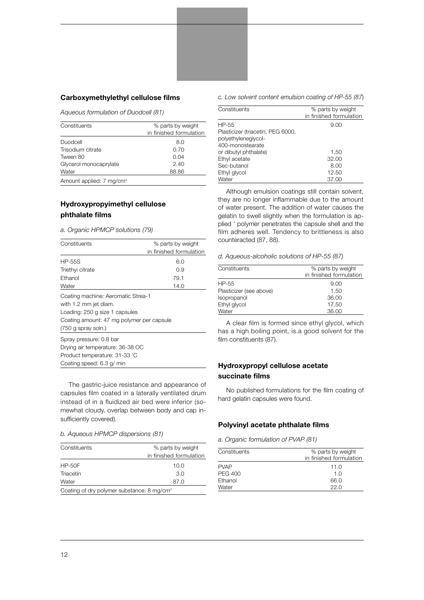#### **Carboxymethylethyl cellulose films**

*Aqueous formulation of Duodcell (81)*

| Constituents                         | % parts by weight       |  |
|--------------------------------------|-------------------------|--|
|                                      | in finished formulation |  |
| Duodcell                             | 8.0                     |  |
| Trisodium citrate                    | 0.70                    |  |
| Tween 80                             | 0.04                    |  |
| Glycerol monocaprylate               | 2.40                    |  |
| Water                                | 88.86                   |  |
| Amount applied: 7 mg/cm <sup>2</sup> |                         |  |

# **Hydroxypropyimethyl cellulose phthalate films**

*a. Organic HPMCP solutions (79)*

| Constituents                                                                                  | % parts by weight       |
|-----------------------------------------------------------------------------------------------|-------------------------|
|                                                                                               | in finished formulation |
| <b>HP-55S</b>                                                                                 | 6.0                     |
| Triethyi citrate                                                                              | 0.9                     |
| Ethanol                                                                                       | 79.1                    |
| Water                                                                                         | 14.0                    |
| Coating machine: Aeromatic Strea-1<br>with 1.2 mm jet diam.<br>Loading: 250 g size 1 capsules |                         |
| Coating amount: 47 mg polymer per capsule                                                     |                         |
| $(750$ g spray soln.)                                                                         |                         |
| Spray pressure: 0.8 bar                                                                       |                         |
| Drying air temperature: 36-38 OC                                                              |                         |
| Product temperature: 31-33 'C                                                                 |                         |
| Coating speed: 6.3 g/ min                                                                     |                         |

The gastric-juice resistance and appearance of capsules film coated in a laterally ventilated drum instead of in a fluidized air bed were inferior (somewhat cloudy, overlap between body and cap insufficiently covered).

*b. Aqueous HPMCP dispersions (81)*

| Constituents                                          | % parts by weight       |
|-------------------------------------------------------|-------------------------|
|                                                       | in finished formulation |
| $HP-50F$                                              | 10.0                    |
| Triacetin                                             | 3.0                     |
| Water                                                 | 87.0                    |
| Coating of dry polymer substance: $8 \text{ mg/cm}^2$ |                         |

#### *c. Low solvent content emulsion coating of HP-55 (87*)

| Constituents                                             | % parts by weight<br>in finished formulation |
|----------------------------------------------------------|----------------------------------------------|
| HP-55                                                    | 9.00                                         |
| Plasticizer (triacetin, PEG 6000,<br>polyethylenegiycol- |                                              |
| 400-monostearate                                         |                                              |
| or dibutyl phthalate)                                    | 1.50                                         |
| Ethyl acetate                                            | 32.00                                        |
| Sec-butanol                                              | 8.00                                         |
| Ethyl glycol                                             | 12.50                                        |
| Water                                                    | 37.00                                        |

Although emulsion coatings still contain solvent, they are no longer inflammable due to the amount of water present. The addition of water causes the gelatin to swell slightly when the formulation is applied ' polymer penetrates the capsule shell and the film adheres well. Tendency to brittleness is also counteracted (87, 88).

*d. Aqueous-alcoholic solutions of HP-55 (87)*

| Constituents            | % parts by weight       |
|-------------------------|-------------------------|
|                         | in finished formulation |
| HP-55                   | 9.00                    |
| Plasticizer (see above) | 1.50                    |
| Isopropanol             | 36.00                   |
| Ethyl glycol            | 17.50                   |
| Water                   | 36.00                   |

A clear film is formed since ethyl glycol, which has a high boiling point, is.a good solvent for the film constituents (87).

# **Hydroxypropyl cellulose acetate succinate films**

No published formulations for the film coating of hard gelatin capsules were found.

# **Polyvinyl acetate phthalate films**

*a. Organic formulation of PVAP (81)*

| Constituents   | % parts by weight       |
|----------------|-------------------------|
|                | in finished formulation |
| <b>PVAP</b>    | 11.0                    |
| <b>PEG 400</b> | 1.0                     |
| Ethanol        | 66.0                    |
| Water          | 22.0                    |
|                |                         |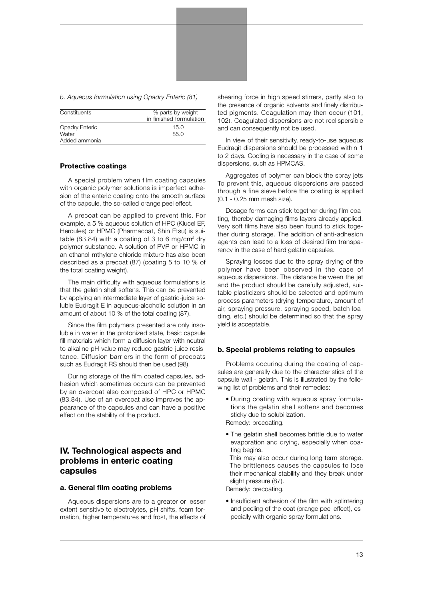*b. Aqueous formulation using Opadry Enteric (81)*

| Constituents   | % parts by weight       |
|----------------|-------------------------|
|                | in finished formulation |
| Opadry Enteric | 15.0                    |
| Water          | 85.0                    |
| Added ammonia  |                         |

#### **Protective coatings**

A special problem when film coating capsules with organic polymer solutions is imperfect adhesion of the enteric coating onto the smooth surface of the capsule, the so-called orange peel effect.

A precoat can be applied to prevent this. For example, a 5 % aqueous solution of HPC (Klucel EF, Hercules) or HPMC (Pharmacoat, Shin Etsu) is suitable  $(83,84)$  with a coating of 3 to 6 mg/cm<sup>2</sup> dry polymer substance. A solution of PVP or HPMC in an ethanol-mthylene chloride mixture has also been described as a precoat (87) (coating 5 to 10 % of the total coating weight).

The main difficulty with aqueous formulations is that the gelatin shell softens. This can be prevented by applying an intermediate layer of gastric-juice soluble Eudragit E in aqueous-alcoholic solution in an amount of about 10 % of the total coating (87).

Since the film polymers presented are only insoluble in water in the protonized state, basic capsule fill materials which form a diffusion layer with neutral to alkaline pH value may reduce gastric-juice resistance. Diffusion barriers in the form of precoats such as Eudragit RS should then be used (98).

During storage of the film coated capsules, adhesion which sometimes occurs can be prevented by an overcoat also composed of HPC or HPMC (83.84). Use of an overcoat also improves the appearance of the capsules and can have a positive effect on the stability of the product.

# **IV. Technological aspects and problems in enteric coating capsules**

#### **a. General film coating problems**

Aqueous dispersions are to a greater or lesser extent sensitive to electrolytes, pH shifts, foam formation, higher temperatures and frost, the effects of shearing force in high speed stirrers, partly also to the presence of organic solvents and finely distributed pigments. Coagulation may then occur (101, 102). Coagulated dispersions are not reclispersible and can consequently not be used.

In view of their sensitivity, ready-to-use aqueous Eudragit dispersions should be processed within 1 to 2 days. Cooling is necessary in the case of some dispersions, such as HPMCAS.

Aggregates of polymer can block the spray jets To prevent this, aqueous dispersions are passed through a fine sieve before the coating is applied (0.1 - 0.25 mm mesh size).

Dosage forms can stick together during film coating, thereby damaging films layers already applied. Very soft films have also been found to stick together during storage. The addition of anti-adhesion agents can lead to a loss of desired film transparency in the case of hard gelatin capsules.

Spraying losses due to the spray drying of the polymer have been observed in the case of aqueous dispersions. The distance between the jet and the product should be carefully adjusted, suitable plasticizers should be selected and optimum process parameters (drying temperature, amount of air, spraying pressure, spraying speed, batch loading, etc.) should be determined so that the spray yield is acceptable.

#### **b. Special problems relating to capsules**

Problems occuring during the coating of capsules are generally due to the characteristics of the capsule wall - gelatin. This is illustrated by the following list of problems and their remedies:

- During coating with aqueous spray formulations the gelatin shell softens and becomes sticky due to solubilization. Remedy: precoating.
- The gelatin shell becomes brittle due to water evaporation and drying, especially when coating begins.

This may also occur during long term storage. The brittleness causes the capsules to lose their mechanical stability and they break under slight pressure (87).

Remedy: precoating.

• Insufficient adhesion of the film with splintering and peeling of the coat (orange peel effect), especially with organic spray formulations.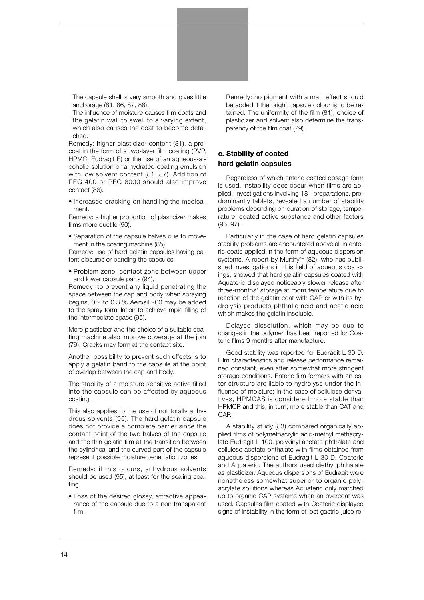The capsule shell is very smooth and gives little anchorage (81, 86, 87, 88).

The influence of moisture causes film coats and the gelatin wall to swell to a varying extent, which also causes the coat to become detached.

Remedy: higher plasticizer content (81), a precoat in the form of a two-layer film coating (PVP, HPMC, Eudragit E) or the use of an aqueous-alcoholic solution or a hydrated coating emulsion with low solvent content (81, 87). Addition of PEG 400 or PEG 6000 should also improve contact (86).

• Increased cracking on handling the medicament.

Remedy: a higher proportion of plasticizer makes films more ductile (90).

• Separation of the capsule halves due to movement in the coating machine (85).

Remedy: use of hard gelatin capsules having patent closures or banding the capsules.

• Problem zone: contact zone between upper and lower capsule parts (94),

Remedy: to prevent any liquid penetrating the space between the cap and body when spraying begins, 0.2 to 0.3 % Aerosil 200 may be added to the spray formulation to achieve rapid filling of the intermediate space (95).

More plasticizer and the choice of a suitable coating machine also improve coverage at the join (79). Cracks may form at the contact site.

Another possibility to prevent such effects is to apply a gelatin band to the capsule at the point of overlap between the cap and body.

The stability of a moisture sensitive active filled into the capsule can be affected by aqueous coating.

This also applies to the use of not totally anhydrous solvents (95). The hard gelatin capsule does not provide a complete barrier since the contact point of the two halves of the capsule and the thin gelatin film at the transition between the cylindrical and the curved part of the capsule represent possible moisture penetration zones.

Remedy: if this occurs, anhydrous solvents should be used (95), at least for the sealing coating.

• Loss of the desired glossy, attractive appearance of the capsule due to a non transparent film.

Remedy: no pigment with a matt effect should be added if the bright capsule colour is to be retained. The uniformity of the film (81), choice of plasticizer and solvent also determine the transparency of the film coat (79).

# **c. Stability of coated hard gelatin capsules**

Regardless of which enteric coated dosage form is used, instability does occur when films are applied. Investigations involving 181 preparations, predominantly tablets, revealed a number of stability problems depending on duration of storage, temperature, coated active substance and other factors (96, 97).

Particularly in the case of hard gelatin capsules stability problems are encountered above all in enteric coats applied in the form of aqueous dispersion systems. A report by Murthy\*\* (82), who has published investigations in this field of aqueous coat-> ings, showed that hard gelatin capsules coated with Aquateric displayed noticeably slower release after three-months' storage at room temperature due to reaction of the gelatin coat with CAP or with its hydrolysis products phthalic acid and acetic acid which makes the gelatin insoluble.

Delayed dissolution, which may be due to changes in the polymer, has been reported for Coateric films 9 months after manufacture.

Good stability was reported for Eudragit L 30 D. Film characteristics and release performance remained constant, even after somewhat more stringent storage conditions. Enteric film formers with an ester structure are liable to hydrolyse under the influence of moisture; in the case of cellulose derivatives, HPMCAS is considered more stable than HPMCP and this, in turn, more stable than CAT and CAP.

A stability study (83) compared organically applied films of polymethacrylic acid-methyl methacrylate Eudragit L 100, polyvinyl acetate phthalate and cellulose acetate phthalate with films obtained from aqueous dispersions of Eudragit L 30 D, Coateric and Aquateric. The authors used diethyl phthalate as plasticizer. Aqueous dispersions of Eudragit were nonetheless somewhat superior to organic polyacrylate solutions whereas Aquateric only matched up to organic CAP systems when an overcoat was used. Capsules film-coated with Coateric displayed signs of instability in the form of lost gastric-juice re-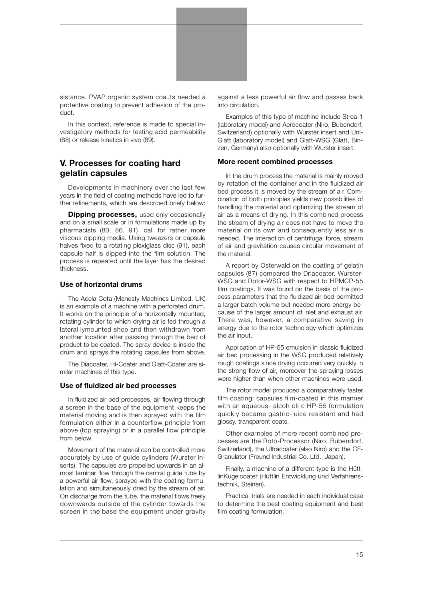

sistance. PVAP organic system coaJts needed a protective coating to prevent adhesion of the product.

In this context, reference is made to special investigatory methods for testing acid permeability (88) or release kinetics in vivo (89).

# **V. Processes for coating hard gelatin capsules**

Developments in machinery over the last few years in the field of coating methods have led to further refinements, which are described briefy below:

**Dipping processes, used only occasionally** and on a small scale or in formulations made up by pharmacists (80, 86, 91), call for rather more viscous dipping media. Using tweezers or capsule halves fixed to a rotating plexiglass disc (91), each capsule half is dipped into the film solution. The process is repeated until the layer has the desired thickness.

### **Use of horizontal drums**

The Acela Cota (Manesty Machines Limited, UK) is an example of a machine with a perforated drum. It works on the principle of a horizontally mounted, rotating cylinder to which drying air is fed through a lateral lymounted shoe and then withdrawn from another location after passing through the bed of product to be coated. The spray device is inside the drum and sprays the rotating capsules from above.

The Diacoater, Hi-Coater and Glatt-Coater are similar machines of this type.

#### **Use of fluidized air bed processes**

In fluidized air bed processes, air flowing through a screen in the base of the equipment keeps the material moving and is then sprayed with the film formulation either in a counterflow principle from above (top spraying) or in a parallel flow principle from below.

Movement of the material can be controlled more accurately by use of guide cylinders (Wurster inserts). The capsules are propelled upwards in an almost laminar flow through the central guide tube by a powerful air flow, sprayed with the coating formulation and simultaneously dried by the stream of air. On discharge from the tube, the material flows freely downwards outside of the cylinder towards the screen in the base the equipment under gravity against a less powerful air flow and passes back into circulation.

Examples of this type of machine include Strea-1 (laboratory model) and Aerocoater (Niro, Bubendorf, Switzerland) optionally with Wurster insert and Uni-Glatt (laboratory model) and Glatt-WSG (Glatt, Binzen, Germany) also optionally with Wurster insert.

#### **More recent combined processes**

In the drum process the material is mainly moved by rotation of the container and in the fluidized air bed process it is moved by the stream of air. Combination of both principles yields new possibilities of handling the material and optimizing the stream of air as a means of drying. In this combined process the stream of drying air does not have to move the material on its own and consequently less air is needed. The interaction of centrifugal force, stream of air and gravitation causes circular movement of the material.

A report by Osterwald on the coating of gelatin capsules (87) compared the Driacoater, Wurster-WSG and Rotor-WSG with respect to HPMCP-55 film coatings. It was found on the basis of the process parameters that the fluidized air bed permitted a larger batch volume but needed more energy because of the larger amount of inlet and exhaust air. There was, however, a comparative saving in energy due to the rotor technology which optimizes the air input.

Application of HP-55 emulsion in classic fluidized air bed processing in the WSG produced relatively rough coatings since drying occurred very quickly in the strong flow of air, moreover the spraying losses were higher than when other machines were used.

The rotor model produced a comparatively faster film coating: capsules film-coated in this manner with an aqueous- alcoh oli c HP-55 formulation quickly became gastric-juice resistant and had glossy, transparent coats.

Other exarnples of more recent combined processes are the Roto-Processor (Niro, Bubendorf, Switzerland), the Ultracoater (also Niro) and the CF-Granulator (Freund Industrial Co. Ltd., Japan).

Finally, a machine of a different type is the HüttlinKugelcoater (Hüttlin Entwicklung und Verfahrenstechnik, Steinen).

Practical trials are needed in each individual case to determine the best coating equipment and best film coating formulation.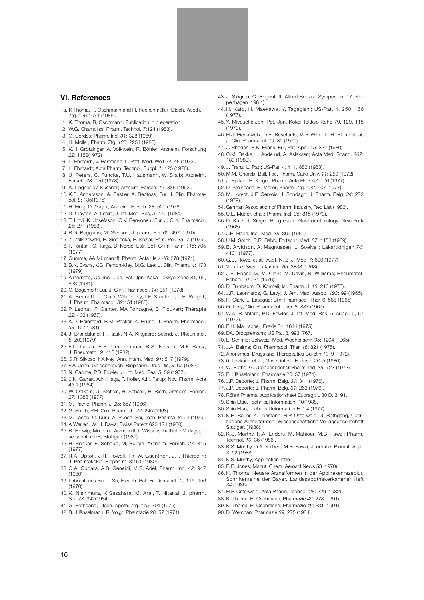#### **VI. References**

- 1a. K Thoma, R. Oschmann and H. Heckenmüller; Dtsch. Apoth. Ztg. *126*:1071 (1986).
- 1. K. Thoma, R, Oschmann; Publication in preparation.
- 2. W.G. Chambliss; Pharm. Technol. *7*:124 (1983).
- 3. G. Cordes; Pharm. Ind. *31*: 328 (1969).
- 4. H. Möller; Pharm, Ztg. *125*: 2254 (1980).
- 5. K.H. Grötzinger, A. Volkwein, R. Böhler; Arzneim. Forschung *22*: 1152(1972)
- 6. L. Ehrhardt, V. Hartmann, L. Patt; Med. Welt *24*: 45 (1973).
- 7. L. Ehrhardt; Acta Pharm. Technol. Suppl. *1*: 125 (1976).
- 8. U. Peters, C. Funcke, T.U. Hausmann, W. Staib; Arzneim. Forsch. *28*: 750 (1978).
- 9. K. Lingner, W. Küssner; Arzneim. Forsch. *12*: 835 (1962).
- 10. K.E. Andersson, A. Bestler, A. Redfoss; Eur. J. Clin. Pharmacol. *8*: 135(1975).
- 11. H. Einig, D. Mayer; Arzneim. Forsch. *28*: 527 (1978).
- 12. D. Clayton, A. Leslie; J. Int. Med. Res, *9*: 470 (1981).
- 13. T. Hovi, K. Josefsson, O.V. Renkonen; Eur. J. Clin. Pharmacol. *25*: 271 (1983).
- 14. B.G. Boggiano, M. Gleeson; J. pharm. Sci. *65*: 497 (1970).
- 15. Z. Zalkrzewski, E. Siedlecka, E. Kozial; Fam. Pol. *35*: 7 (1979).
- 16. F. Fontani, G. Targa, D. Norde; Estr. Boll. Chim. Farm. *116*: 705 (1977).
- 17. Gumma, AA Mirimanoff; Pharm. Acta Helv. *46*: 278 (1971).
- 18. B.K. Evans, V.G. Fenton-May, M.G. Lee; J. Clin. Pharm. *4*: 173 (1979).
- 19. Ajinornoto, Co. Inc.; Jpn, Pat. Jpn. Kokai Tokkyo Koho 81, 65, 823 (1981).
- 20. C. Bogentoft; Eur. J. Clin. Pharmacol, *14*: 351 (1978).
- 21. A. Bennett, T. Clark-Wibberley, I.F. Stanford, J.E. Wright; J. Pharm. Pharmacol, *32*:151 (1980).
- 22. P. Lechat, P. Ganter, MA Fontagne, B. Flouvart; Thérapie *22*: 403 (1967).
- 23. K.D. Rainsford, B.M. Peskar, K. Brune; J. Pharm. Pharmacol. *33*, 127(1981).
- 24. J. Brandslund, H. Rask, N.A. Klitgaard; Scand. J. Rheumatol. *8*: 209(1979).
- 25. F.L. Lanza, E.R. Umbenhauer, R.S. Nelson, M.F. Rack; J. Rheumatol. *9*: 415 (1982).
- 26. G.R. Silvoso, KA lvey; Ann. Intern. Med. *91*: 517 (1979).
- 27. V.A. John, Goldsborough; Biopharm. Drug Dis, *3*: 67 (1982).
- 28. N. Cardoe, P.D. Fowler; J. Int. Med. Res. *5*: 59 (1977).
- 29. 0.N. Gamst, A.K. Haga, T. Holler, A.H. Farup; Nov. Pharm. Acta *46*:1 (1984).
- 30. W. Oelkers, G. Stoffels, H, Schäfer, H. Rieth; Arzneim. Forsch. *27*: 1088 (1977),
- 31. M. Payne; Pharm. J. *25*: 657 (1966).
- 32. G. Smith, P.H. Cox; Pharm. J., *22*: 245 (1963).
- 33. M. Jacob, C. Duru, A. Puech; Sci, Tech. Pharma. *8*: 93 (1979).
- 34. A Warren, W. H. Davis; Swiss Patent 620,124 (1980).
- 35. B. Helwig; Moderne Arzneimittel, Wissenschaftliche Verlagsgesellschaft mbH, Stuttgart (1980).
- 36. H. Renker, E. Schaub, M, Bürgin; Arzneim. Forsch. *27*: 845 (1977).
- 37. R.A. Upton, J.R. Powell, Th. W, Guenthert, J.F. Thiercelin; J. Pharmakokin. Biopharm. 8:151 (1980).
- 38. O.A. Gubara, A.S. Geneidi, M.S. Adel; Pharm. Ind. *42*: 947 (1980).
- 39. Laboratories Sobio Sa; French. Pat, Fr. Demancle 2, 116, 156 (1970).
- 40. K. Nishimura, K Sasahara, M. Arai, T. Nitanai; J. pharm. Sci. *73*: 942(1984).
- 41. G. Rothgang; Dtsch. Apoth. Ztg. *115*: 701 (1975).
- 42. B., Hänselmann, R. Voigt; Pharmazie *26*: 57 (1971).
- 43. J. Sjögren, C. Bogentoft; Alfred Benzon Symposium 17, Kopenhagen (198 1).
- 44. H. Kato, H. Maekawa, Y, Tagagishi; US-Pat. 4, 250, 166 (1977).
- 45. Y. Miyauchi; Jpn. Pat. Jpn. Kokai Tokkyo Koho 79, 129, 115 (1979),
- 46. H.J. Pienaszelk, D.E. Resetarits, W.K Wilferth, H. Blumenthal; J. Clin. Pharmacol. *19*: 39 (1979).
- 47. J. Rhodes, B.K. Evans; Eur, Pat. Appl. *15*: 334 (1980).
- 48. C.M. Bakke, L. Anderud, A. Aslaksen; Acta Med. Scand. *207*: 183 (1980).
- 49. J. Franz, L. Patt; US-Pat. 4, 411, 882 (1983).
- 50. M.M. Ghorab; Bull. Fac. Pharm. Cairo Univ. *11*: 259 (1972).
- 51. J. Spitael, R. Kinget; Pharm. Acta Helv. *52*: 106 (1977).
- 52. D. Steinbach, H. Möller; Pharm. Ztg. *122*: 507 (1977).
- 53. M. Lorent, J.P. Gervois, J. Sondagh; J. Pharm. Belg. *34*: 272 (1979).
- 54. German Association of Pharm. Industry, Red List (1982).
- 55. U.E. Mutter, et al.; Pharm. Incl. *35*: 815 (1973).
- 56. D. Katz, J. Siegel; Progress in Gastroenterology, New York (1968).
- 57. J.R. Hoon; Incl. Med. *38*: 362 (1969).
- 58. U.M. Smith, R.R. Babb; Fortschr. Med. *87*: 1153 (1969).
- 59. B. Arvidson, A. Magnussen, L. Soelvell; Läkartidnigen *74*: 4101 (1977).
- 60. G.B. Howe, et al.; Aust. N, Z. J. Mod. 7: 600 (1977).
- 61. V. Laine; Sven. Läkartidn, *65*: 3838 (1968).
- 62 J.E. Rossouw, M. Clark, M. Davis, R. Williams; Rheumatol. Rehabil. *15*: 31 (1976).
- 63. D. Birnbaum, D. Kormeli; Isr. Pharm. J. *18*: 216 (1975).
- 64. J.R. Leonhards, G. Levy; J. Am. Med. Assoc. *193*: 99 (1965).
- 65. R. Clark, L. Lasagua; Clin. Pharmacol. Ther. 6: 568 (1965).
- 66. G. Levy; Clin. Pharmacol. Ther. 8: 887 (1967).
- 67. W.A. Rushford, P.D. Fowler; J. Int. Med. Res. 5, suppl. 2, 67 (1977).
- 68. E.H. Mauracher; Praxis 64: 1644 (1975).
- 69. DA. Dropplemann; US Pal. 3, 993, 767.
- 70. E. Schmid; Schweiz. Med. Wochenschr. *95*: 1204 (1965).
- 71. J.A. Beirne; Clin. Pharmacol. Ther. *16*: 821 (1975).
- 72. Anonymus; Drugs and Therapeutics Bulletin *10*: 9 (1972).
- 73. 0. Lockard, et al.; Gastrointest. Endosc. *26*: 5 (1980),
- 74. W. Rothe, G. Groppenbächer Pharm. Ind. *35*: 723 (1973).
- 75. B. Hänselmann; Pharmazie 26: 57 (1971).
- 76. J.P. Deporte; J. Pharm. Belg. *31*: 341 (1976),
- 77. J.P. Deporte; J. Pharm. Belg. *31*: 263 (1976).
- 78. Röhm Pharma, Applicationsheet Eudragit L 30 D, 3191.
- 79. Shin Etsu, Technical Information, 10/1988.
- 80. Shin Etsu, Technical Information H-1 4 (1977).
- 81. K.H. Bauer, K. Lohmann; H.P. Osterwald, G. Rothgang, Überzogene Arzneiformen, Wissenschaftliche Verlagsgesellschaft Stuttgart (1988).
- 82. K.S. Murthy, N.A. Enders, M. Mahjour, M.B. Fawzi; Pharm. Technol. *10*: 36 (1986).
- 83. K.S. Murthy, D.A. Kulbert, M.B. Fawzi; Journal of Biomat. Appl. *3*: 52 (1988).
- 84. K.S. Murthy; Application-letter.
- 85. B.E. Jones; Manuf. Chem. Aerosol News 53 (1970).
- 86. K. Thoma; Neuere Arzneiformen in der Apolhekenrezeplur, Schriftenreihe der Bayer. Landesapothekerkammer Heft *34* (1986).
- 87. H.P. Osterwald; Acta Pharm. Technol. 28: 329 (1982).
- 88. K. Thoma, R. Oschmann; Pharmazie *46*: 278 (1991).
- 89. K. Thoma, R. Oschmann; Pharmazie *46*: 331 (1991).
- 90. D. Werchan; Pharmazie *39*: 275 (1984).